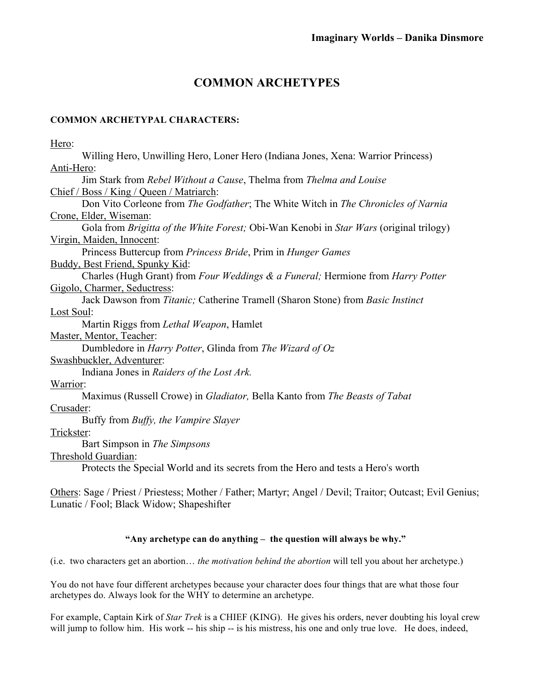# **COMMON ARCHETYPES**

## **COMMON ARCHETYPAL CHARACTERS:**

| Hero:                                                                                                     |
|-----------------------------------------------------------------------------------------------------------|
| Willing Hero, Unwilling Hero, Loner Hero (Indiana Jones, Xena: Warrior Princess)                          |
| Anti-Hero:                                                                                                |
| Jim Stark from Rebel Without a Cause, Thelma from Thelma and Louise                                       |
| Chief / Boss / King / Queen / Matriarch:                                                                  |
| Don Vito Corleone from The Godfather; The White Witch in The Chronicles of Narnia                         |
| Crone, Elder, Wiseman:                                                                                    |
| Gola from Brigitta of the White Forest; Obi-Wan Kenobi in Star Wars (original trilogy)                    |
| Virgin, Maiden, Innocent:                                                                                 |
| Princess Buttercup from Princess Bride, Prim in Hunger Games                                              |
| Buddy, Best Friend, Spunky Kid:                                                                           |
| Charles (Hugh Grant) from Four Weddings & a Funeral; Hermione from Harry Potter                           |
| Gigolo, Charmer, Seductress:                                                                              |
| Jack Dawson from Titanic; Catherine Tramell (Sharon Stone) from Basic Instinct                            |
| <b>Lost Soul:</b>                                                                                         |
| Martin Riggs from Lethal Weapon, Hamlet                                                                   |
| Master, Mentor, Teacher:                                                                                  |
| Dumbledore in Harry Potter, Glinda from The Wizard of Oz                                                  |
| Swashbuckler, Adventurer:                                                                                 |
| Indiana Jones in Raiders of the Lost Ark.                                                                 |
| Warrior:                                                                                                  |
| Maximus (Russell Crowe) in <i>Gladiator</i> , Bella Kanto from <i>The Beasts of Tabat</i>                 |
| Crusader:                                                                                                 |
| Buffy from Buffy, the Vampire Slayer                                                                      |
| Trickster:                                                                                                |
| Bart Simpson in The Simpsons                                                                              |
| Threshold Guardian:                                                                                       |
| Protects the Special World and its secrets from the Hero and tests a Hero's worth                         |
|                                                                                                           |
| Others: Sage / Priest / Priestess; Mother / Father; Martyr; Angel / Devil; Traitor; Outcast; Evil Genius; |

Lunatic / Fool; Black Widow; Shapeshifter

# **"Any archetype can do anything – the question will always be why."**

(i.e. two characters get an abortion… *the motivation behind the abortion* will tell you about her archetype.)

You do not have four different archetypes because your character does four things that are what those four archetypes do. Always look for the WHY to determine an archetype.

For example, Captain Kirk of *Star Trek* is a CHIEF (KING). He gives his orders, never doubting his loyal crew will jump to follow him. His work -- his ship -- is his mistress, his one and only true love. He does, indeed,